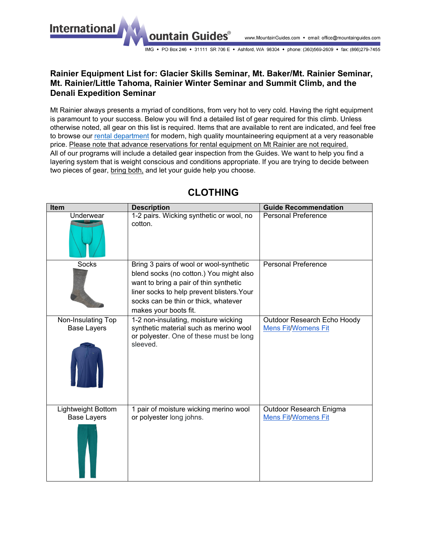**International** 

IMG • PO Box 246 • 31111 SR 706 E • Ashford, WA 98304 • phone: (360)569-2609 • fax: (866)279-7455

#### **Rainier Equipment List for: Glacier Skills Seminar, Mt. Baker/Mt. Rainier Seminar, Mt. Rainier/Little Tahoma, Rainier Winter Seminar and Summit Climb, and the Denali Expedition Seminar**

ountain Guides®

Mt Rainier always presents a myriad of conditions, from very hot to very cold. Having the right equipment is paramount to your success. Below you will find a detailed list of gear required for this climb. Unless otherwise noted, all gear on this list is required. Items that are available to rent are indicated, and feel free to browse our [rental department](https://www.mountainguides.com/rainier-rentals.shtml) for modern, high quality mountaineering equipment at a very reasonable price. Please note that advance reservations for rental equipment on Mt Rainier are not required. All of our programs will include a detailed gear inspection from the Guides. We want to help you find a layering system that is weight conscious and conditions appropriate. If you are trying to decide between two pieces of gear, bring both, and let your guide help you choose.

| Item                                     | <b>Description</b>                                                                                                                                                                                                                          | <b>Guide Recommendation</b>                               |
|------------------------------------------|---------------------------------------------------------------------------------------------------------------------------------------------------------------------------------------------------------------------------------------------|-----------------------------------------------------------|
| Underwear                                | 1-2 pairs. Wicking synthetic or wool, no<br>cotton.                                                                                                                                                                                         | <b>Personal Preference</b>                                |
| <b>Socks</b>                             | Bring 3 pairs of wool or wool-synthetic<br>blend socks (no cotton.) You might also<br>want to bring a pair of thin synthetic<br>liner socks to help prevent blisters. Your<br>socks can be thin or thick, whatever<br>makes your boots fit. | <b>Personal Preference</b>                                |
| Non-Insulating Top<br><b>Base Layers</b> | 1-2 non-insulating, moisture wicking<br>synthetic material such as merino wool<br>or polyester. One of these must be long<br>sleeved.                                                                                                       | Outdoor Research Echo Hoody<br><b>Mens Fit/Womens Fit</b> |
| Lightweight Bottom<br><b>Base Layers</b> | 1 pair of moisture wicking merino wool<br>or polyester long johns.                                                                                                                                                                          | Outdoor Research Enigma<br><b>Mens Fit/Womens Fit</b>     |

# **CLOTHING**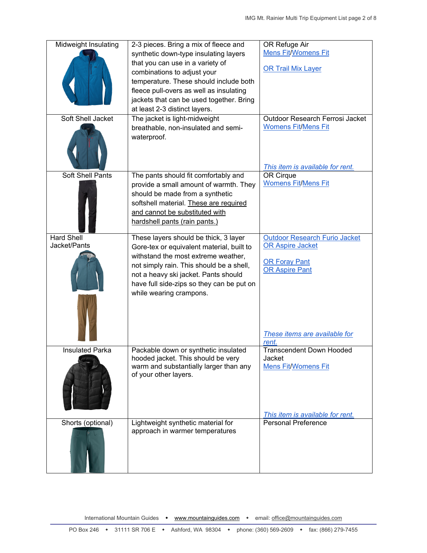| Midweight Insulating    | 2-3 pieces. Bring a mix of fleece and                                 | OR Refuge Air                                                 |
|-------------------------|-----------------------------------------------------------------------|---------------------------------------------------------------|
|                         | synthetic down-type insulating layers                                 | <b>Mens Fit/Womens Fit</b>                                    |
|                         | that you can use in a variety of                                      |                                                               |
|                         | combinations to adjust your                                           | <b>OR Trail Mix Layer</b>                                     |
|                         | temperature. These should include both                                |                                                               |
|                         | fleece pull-overs as well as insulating                               |                                                               |
|                         | jackets that can be used together. Bring                              |                                                               |
|                         | at least 2-3 distinct layers.                                         |                                                               |
|                         |                                                                       |                                                               |
| Soft Shell Jacket       | The jacket is light-midweight                                         | Outdoor Research Ferrosi Jacket<br><b>Womens Fit/Mens Fit</b> |
|                         | breathable, non-insulated and semi-                                   |                                                               |
|                         | waterproof.                                                           |                                                               |
|                         |                                                                       |                                                               |
|                         |                                                                       |                                                               |
|                         |                                                                       | This item is available for rent.                              |
| <b>Soft Shell Pants</b> | The pants should fit comfortably and                                  | OR Cirque                                                     |
|                         | provide a small amount of warmth. They                                | <b>Womens Fit/Mens Fit</b>                                    |
|                         | should be made from a synthetic                                       |                                                               |
|                         | softshell material. These are required                                |                                                               |
|                         | and cannot be substituted with                                        |                                                               |
|                         | hardshell pants (rain pants.)                                         |                                                               |
|                         |                                                                       |                                                               |
| <b>Hard Shell</b>       | These layers should be thick, 3 layer                                 | <b>Outdoor Research Furio Jacket</b>                          |
| Jacket/Pants            | Gore-tex or equivalent material, built to                             | <b>OR Aspire Jacket</b>                                       |
|                         | withstand the most extreme weather,                                   |                                                               |
|                         | not simply rain. This should be a shell,                              | <b>OR Foray Pant</b><br><b>OR Aspire Pant</b>                 |
|                         | not a heavy ski jacket. Pants should                                  |                                                               |
|                         | have full side-zips so they can be put on                             |                                                               |
|                         | while wearing crampons.                                               |                                                               |
|                         |                                                                       |                                                               |
|                         |                                                                       |                                                               |
|                         |                                                                       |                                                               |
|                         |                                                                       |                                                               |
|                         |                                                                       | These items are available for                                 |
| <b>Insulated Parka</b>  | Packable down or synthetic insulated                                  | rent.<br><b>Transcendent Down Hooded</b>                      |
|                         | hooded jacket. This should be very                                    | Jacket                                                        |
|                         | warm and substantially larger than any                                | <b>Mens Fit/Womens Fit</b>                                    |
|                         | of your other layers.                                                 |                                                               |
|                         |                                                                       |                                                               |
|                         |                                                                       |                                                               |
|                         |                                                                       |                                                               |
|                         |                                                                       |                                                               |
|                         |                                                                       | This item is available for rent.                              |
| Shorts (optional)       | Lightweight synthetic material for<br>approach in warmer temperatures | <b>Personal Preference</b>                                    |
|                         |                                                                       |                                                               |
|                         |                                                                       |                                                               |
|                         |                                                                       |                                                               |
|                         |                                                                       |                                                               |
|                         |                                                                       |                                                               |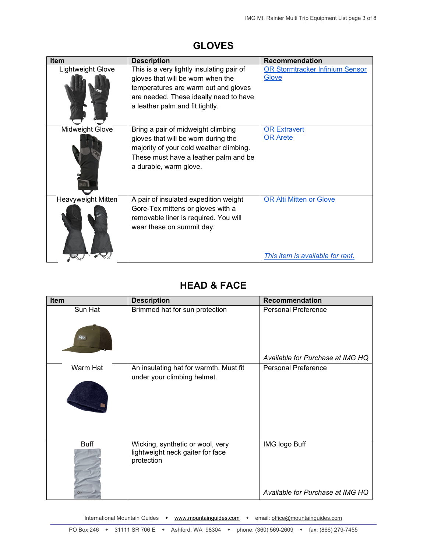| <b>Item</b>        | <b>Description</b>                                                                                                                                                                                  | <b>Recommendation</b>                                              |
|--------------------|-----------------------------------------------------------------------------------------------------------------------------------------------------------------------------------------------------|--------------------------------------------------------------------|
| Lightweight Glove  | This is a very lightly insulating pair of<br>gloves that will be worn when the<br>temperatures are warm out and gloves<br>are needed. These ideally need to have<br>a leather palm and fit tightly. | OR Stormtracker Infinium Sensor<br>Glove                           |
| Midweight Glove    | Bring a pair of midweight climbing<br>gloves that will be worn during the<br>majority of your cold weather climbing.<br>These must have a leather palm and be<br>a durable, warm glove.             | <b>OR Extravert</b><br><b>OR Arete</b>                             |
| Heavyweight Mitten | A pair of insulated expedition weight<br>Gore-Tex mittens or gloves with a<br>removable liner is required. You will<br>wear these on summit day.                                                    | <b>OR Alti Mitten or Glove</b><br>This item is available for rent. |

#### **GLOVES**

# **HEAD & FACE**

| Item          | <b>Description</b>                                                                 | <b>Recommendation</b>                                    |
|---------------|------------------------------------------------------------------------------------|----------------------------------------------------------|
| Sun Hat<br>95 | Brimmed hat for sun protection                                                     | <b>Personal Preference</b>                               |
|               |                                                                                    | Available for Purchase at IMG HQ                         |
| Warm Hat      | An insulating hat for warmth. Must fit<br>under your climbing helmet.              | <b>Personal Preference</b>                               |
| <b>Buff</b>   | Wicking, synthetic or wool, very<br>lightweight neck gaiter for face<br>protection | <b>IMG logo Buff</b><br>Available for Purchase at IMG HQ |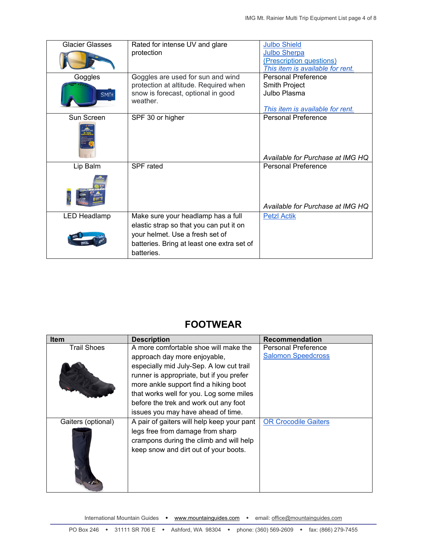| <b>Glacier Glasses</b> | Rated for intense UV and glare             | <b>Julbo Shield</b>              |
|------------------------|--------------------------------------------|----------------------------------|
|                        | protection                                 | <b>Julbo Sherpa</b>              |
|                        |                                            | (Prescription questions)         |
|                        |                                            | This item is available for rent. |
| Goggles                | Goggles are used for sun and wind          | Personal Preference              |
|                        | protection at altitude. Required when      | Smith Project                    |
| SMITH                  | snow is forecast, optional in good         | Julbo Plasma                     |
|                        | weather.                                   |                                  |
|                        |                                            | This item is available for rent. |
| Sun Screen             | SPF 30 or higher                           | Personal Preference              |
|                        |                                            |                                  |
|                        |                                            |                                  |
|                        |                                            |                                  |
|                        |                                            | Available for Purchase at IMG HQ |
| Lip Balm               | SPF rated                                  | Personal Preference              |
|                        |                                            |                                  |
|                        |                                            | Available for Purchase at IMG HQ |
| <b>LED Headlamp</b>    | Make sure your headlamp has a full         | <b>Petzl Actik</b>               |
|                        | elastic strap so that you can put it on    |                                  |
|                        | your helmet. Use a fresh set of            |                                  |
|                        | batteries. Bring at least one extra set of |                                  |
|                        | batteries.                                 |                                  |
|                        |                                            |                                  |

### **FOOTWEAR**

| <b>Item</b>        | <b>Description</b>                         | <b>Recommendation</b>       |
|--------------------|--------------------------------------------|-----------------------------|
| <b>Trail Shoes</b> | A more comfortable shoe will make the      | <b>Personal Preference</b>  |
|                    | approach day more enjoyable,               | <b>Salomon Speedcross</b>   |
|                    | especially mid July-Sep. A low cut trail   |                             |
|                    | runner is appropriate, but if you prefer   |                             |
|                    | more ankle support find a hiking boot      |                             |
|                    | that works well for you. Log some miles    |                             |
|                    | before the trek and work out any foot      |                             |
|                    | issues you may have ahead of time.         |                             |
| Gaiters (optional) | A pair of gaiters will help keep your pant | <b>OR Crocodile Gaiters</b> |
|                    | legs free from damage from sharp           |                             |
|                    | crampons during the climb and will help    |                             |
|                    | keep snow and dirt out of your boots.      |                             |
|                    |                                            |                             |
|                    |                                            |                             |
|                    |                                            |                             |
|                    |                                            |                             |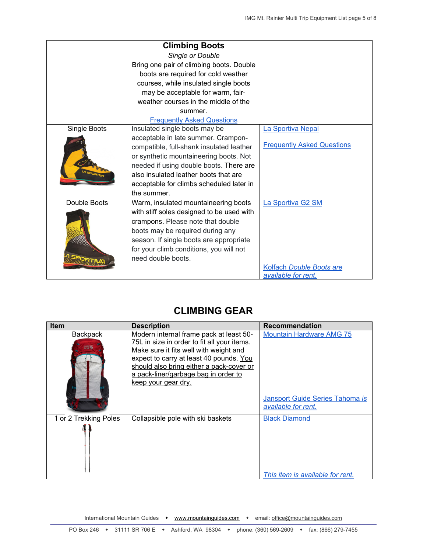|              | <b>Climbing Boots</b>                     |                                   |
|--------------|-------------------------------------------|-----------------------------------|
|              | Single or Double                          |                                   |
|              | Bring one pair of climbing boots. Double  |                                   |
|              | boots are required for cold weather       |                                   |
|              | courses, while insulated single boots     |                                   |
|              | may be acceptable for warm, fair-         |                                   |
|              | weather courses in the middle of the      |                                   |
|              | summer.                                   |                                   |
|              | <b>Frequently Asked Questions</b>         |                                   |
| Single Boots | Insulated single boots may be             | La Sportiva Nepal                 |
|              | acceptable in late summer. Crampon-       |                                   |
|              | compatible, full-shank insulated leather  | <b>Frequently Asked Questions</b> |
|              | or synthetic mountaineering boots. Not    |                                   |
|              | needed if using double boots. There are   |                                   |
|              | also insulated leather boots that are     |                                   |
|              | acceptable for climbs scheduled later in  |                                   |
|              | the summer.                               |                                   |
| Double Boots | Warm, insulated mountaineering boots      | La Sportiva G2 SM                 |
|              | with stiff soles designed to be used with |                                   |
|              | crampons. Please note that double         |                                   |
|              | boots may be required during any          |                                   |
|              | season. If single boots are appropriate   |                                   |
|              | for your climb conditions, you will not   |                                   |
|              | need double boots.                        |                                   |
|              |                                           | Kolfach Double Boots are          |
|              |                                           | available for rent.               |

### **CLIMBING GEAR**

| <b>Item</b>           | <b>Description</b>                                                                                                                                                                                                                                                                     | <b>Recommendation</b>                                  |
|-----------------------|----------------------------------------------------------------------------------------------------------------------------------------------------------------------------------------------------------------------------------------------------------------------------------------|--------------------------------------------------------|
| <b>Backpack</b>       | Modern internal frame pack at least 50-<br>75L in size in order to fit all your items.<br>Make sure it fits well with weight and<br>expect to carry at least 40 pounds. You<br>should also bring either a pack-cover or<br>a pack-liner/garbage bag in order to<br>keep your gear dry. | <b>Mountain Hardware AMG 75</b>                        |
|                       |                                                                                                                                                                                                                                                                                        | Jansport Guide Series Tahoma is<br>available for rent. |
| 1 or 2 Trekking Poles | Collapsible pole with ski baskets                                                                                                                                                                                                                                                      | <b>Black Diamond</b>                                   |
|                       |                                                                                                                                                                                                                                                                                        | This item is available for rent.                       |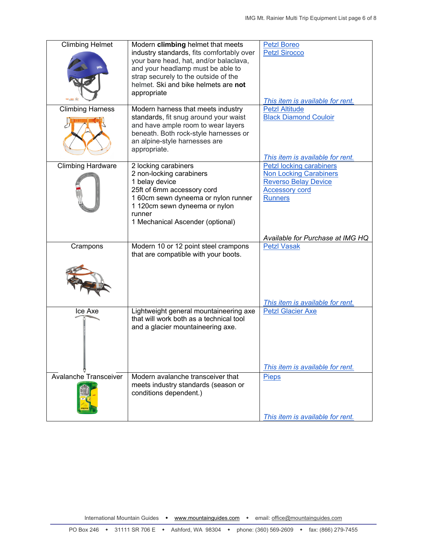| <b>Climbing Helmet</b>       | Modern climbing helmet that meets<br>industry standards, fits comfortably over<br>your bare head, hat, and/or balaclava,<br>and your headlamp must be able to<br>strap securely to the outside of the<br>helmet. Ski and bike helmets are not<br>appropriate | <b>Petzl Boreo</b><br><b>Petzl Sirocco</b><br>This item is available for rent.                                                      |
|------------------------------|--------------------------------------------------------------------------------------------------------------------------------------------------------------------------------------------------------------------------------------------------------------|-------------------------------------------------------------------------------------------------------------------------------------|
| <b>Climbing Harness</b>      | Modern harness that meets industry<br>standards, fit snug around your waist<br>and have ample room to wear layers<br>beneath. Both rock-style harnesses or<br>an alpine-style harnesses are<br>appropriate.                                                  | <b>Petzl Altitude</b><br><b>Black Diamond Couloir</b><br>This item is available for rent.                                           |
| <b>Climbing Hardware</b>     | 2 locking carabiners<br>2 non-locking carabiners<br>1 belay device<br>25ft of 6mm accessory cord<br>1 60cm sewn dyneema or nylon runner<br>1 120cm sewn dyneema or nylon<br>runner<br>1 Mechanical Ascender (optional)                                       | Petzl locking carabiners<br><b>Non Locking Carabiners</b><br><b>Reverso Belay Device</b><br><b>Accessory cord</b><br><b>Runners</b> |
| Crampons                     | Modern 10 or 12 point steel crampons<br>that are compatible with your boots.                                                                                                                                                                                 | Available for Purchase at IMG HQ<br><b>Petzl Vasak</b><br>This item is available for rent.                                          |
| Ice Axe                      | Lightweight general mountaineering axe<br>that will work both as a technical tool<br>and a glacier mountaineering axe.                                                                                                                                       | <b>Petzl Glacier Axe</b><br>This <i>item is available for rent.</i>                                                                 |
| <b>Avalanche Transceiver</b> | Modern avalanche transceiver that<br>meets industry standards (season or<br>conditions dependent.)                                                                                                                                                           | <b>Pieps</b><br>This item is available for rent.                                                                                    |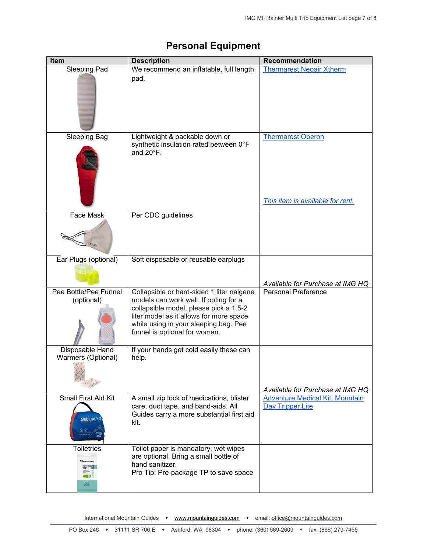| Item                                                  | <b>Description</b>                                                                                                                                                                                                                                | Recommendation                                               |
|-------------------------------------------------------|---------------------------------------------------------------------------------------------------------------------------------------------------------------------------------------------------------------------------------------------------|--------------------------------------------------------------|
| Sleeping Pad                                          | We recommend an inflatable, full length<br>pad.                                                                                                                                                                                                   | <b>Thermarest Neoair Xtherm</b>                              |
| <b>Sleeping Bag</b>                                   | Lightweight & packable down or<br>synthetic insulation rated between 0°F<br>and $20^{\circ}$ F.                                                                                                                                                   | <b>Thermarest Oberon</b><br>This item is available for rent. |
| Face Mask                                             | Per CDC guidelines                                                                                                                                                                                                                                |                                                              |
| Ear Plugs (optional)                                  | Soft disposable or reusable earplugs                                                                                                                                                                                                              | Available for Purchase at IMG HQ                             |
| Pee Bottle/Pee Funnel<br>(optional)                   | Collapsible or hard-sided 1 liter nalgene<br>models can work well. If opting for a<br>collapsible model, please pick a 1.5-2<br>liter model as it allows for more space<br>while using in your sleeping bag. Pee<br>funnel is optional for women. | <b>Personal Preference</b>                                   |
| Disposable Hand<br>Warmers (Optional)                 | If your hands get cold easily these can<br>help.                                                                                                                                                                                                  | Available for Purchase at IMG HQ                             |
| <b>Small First Aid Kit</b><br><b>MEDICALKI</b>        | A small zip lock of medications, blister<br>care, duct tape, and band-aids. All<br>Guides carry a more substantial first aid<br>kit.                                                                                                              | <b>Adventure Medical Kit: Mountain</b><br>Day Tripper Lite   |
| <b>Toiletries</b><br>WIPES <b>E</b><br><b>sex (b)</b> | Toilet paper is mandatory, wet wipes<br>are optional. Bring a small bottle of<br>hand sanitizer.<br>Pro Tip: Pre-package TP to save space                                                                                                         |                                                              |

#### **Personal Equipment**